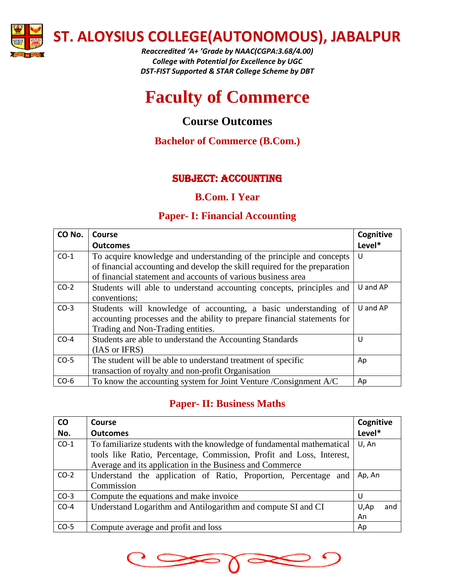

*Reaccredited 'A+ 'Grade by NAAC(CGPA:3.68/4.00) College with Potential for Excellence by UGC DST-FIST Supported & STAR College Scheme by DBT*

# **Faculty of Commerce**

# **Course Outcomes**

# **Bachelor of Commerce (B.Com.)**

# SUBJECT: accounting

### **B.Com. I Year**

# **Paper- I: Financial Accounting**

| CO No. | Course                                                                     | Cognitive |
|--------|----------------------------------------------------------------------------|-----------|
|        | <b>Outcomes</b>                                                            | Level*    |
| $CO-1$ | To acquire knowledge and understanding of the principle and concepts       | U         |
|        | of financial accounting and develop the skill required for the preparation |           |
|        | of financial statement and accounts of various business area               |           |
| $CO-2$ | Students will able to understand accounting concepts, principles and       | U and AP  |
|        | conventions;                                                               |           |
| $CO-3$ | Students will knowledge of accounting, a basic understanding of            | U and AP  |
|        | accounting processes and the ability to prepare financial statements for   |           |
|        | Trading and Non-Trading entities.                                          |           |
| $CO-4$ | Students are able to understand the Accounting Standards                   | U         |
|        | (IAS or IFRS)                                                              |           |
| $CO-5$ | The student will be able to understand treatment of specific               | Ap        |
|        | transaction of royalty and non-profit Organisation                         |           |
| $CO-6$ | To know the accounting system for Joint Venture /Consignment A/C           | Ap        |

# **Paper- II: Business Maths**

| co<br>No. | Course<br><b>Outcomes</b>                                              | Cognitive<br>Level* |
|-----------|------------------------------------------------------------------------|---------------------|
|           |                                                                        |                     |
| $CO-1$    | To familiarize students with the knowledge of fundamental mathematical | U, An               |
|           | tools like Ratio, Percentage, Commission, Profit and Loss, Interest,   |                     |
|           | Average and its application in the Business and Commerce               |                     |
| $CO-2$    | Understand the application of Ratio, Proportion, Percentage and        | Ap, An              |
|           | Commission                                                             |                     |
| $CO-3$    | Compute the equations and make invoice                                 | U                   |
| $CO-4$    | Understand Logarithm and Antilogarithm and compute SI and CI           | U,Ap<br>and         |
|           |                                                                        | An                  |
| $CO-5$    | Compute average and profit and loss                                    | Ap                  |

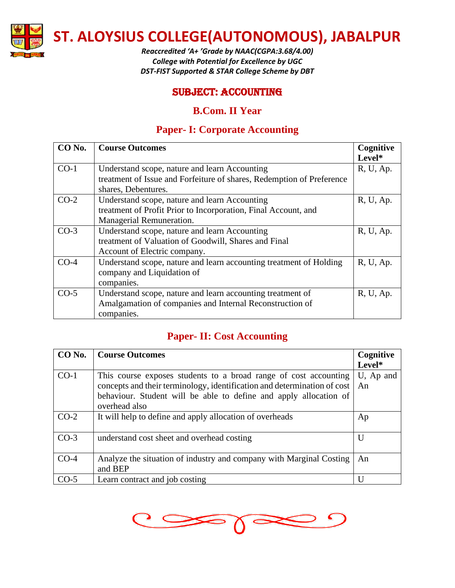

*Reaccredited 'A+ 'Grade by NAAC(CGPA:3.68/4.00) College with Potential for Excellence by UGC DST-FIST Supported & STAR College Scheme by DBT*

#### SUBJECT: accounting

#### **B.Com. II Year**

# **Paper- I: Corporate Accounting**

| CO No. | <b>Course Outcomes</b>                                                | Cognitive |
|--------|-----------------------------------------------------------------------|-----------|
|        |                                                                       | Level*    |
| $CO-1$ | Understand scope, nature and learn Accounting                         | R, U, Ap. |
|        | treatment of Issue and Forfeiture of shares, Redemption of Preference |           |
|        | shares, Debentures.                                                   |           |
| $CO-2$ | Understand scope, nature and learn Accounting                         | R, U, Ap. |
|        | treatment of Profit Prior to Incorporation, Final Account, and        |           |
|        | Managerial Remuneration.                                              |           |
| $CO-3$ | Understand scope, nature and learn Accounting                         | R, U, Ap. |
|        | treatment of Valuation of Goodwill, Shares and Final                  |           |
|        | Account of Electric company.                                          |           |
| $CO-4$ | Understand scope, nature and learn accounting treatment of Holding    | R, U, Ap. |
|        | company and Liquidation of                                            |           |
|        | companies.                                                            |           |
| $CO-5$ | Understand scope, nature and learn accounting treatment of            | R, U, Ap. |
|        | Amalgamation of companies and Internal Reconstruction of              |           |
|        | companies.                                                            |           |

### **Paper- II: Cost Accounting**

| CO No. | <b>Course Outcomes</b>                                                                                                                                                                                                             | Cognitive       |
|--------|------------------------------------------------------------------------------------------------------------------------------------------------------------------------------------------------------------------------------------|-----------------|
|        |                                                                                                                                                                                                                                    | Level*          |
| $CO-1$ | This course exposes students to a broad range of cost accounting<br>concepts and their terminology, identification and determination of cost<br>behaviour. Student will be able to define and apply allocation of<br>overhead also | U, Ap and<br>An |
| $CO-2$ | It will help to define and apply allocation of overheads                                                                                                                                                                           | Ap              |
| $CO-3$ | understand cost sheet and overhead costing                                                                                                                                                                                         | U               |
| $CO-4$ | Analyze the situation of industry and company with Marginal Costing<br>and BEP                                                                                                                                                     | An              |
| $CO-5$ | Learn contract and job costing                                                                                                                                                                                                     | U               |

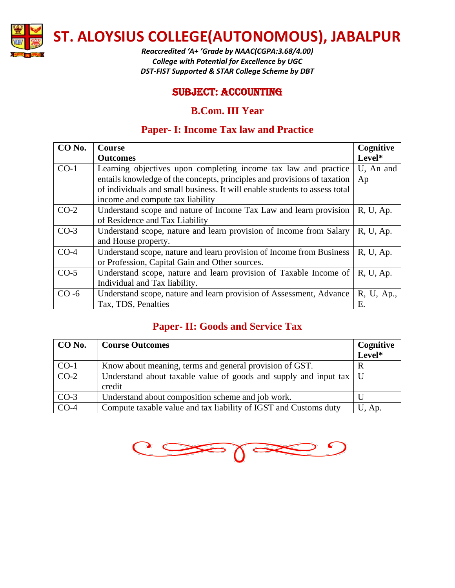

*Reaccredited 'A+ 'Grade by NAAC(CGPA:3.68/4.00) College with Potential for Excellence by UGC DST-FIST Supported & STAR College Scheme by DBT*

### SUBJECT: accounting

### **B.Com. III Year**

# **Paper- I: Income Tax law and Practice**

| CO <sub>No.</sub> | <b>Course</b>                                                              | Cognitive  |
|-------------------|----------------------------------------------------------------------------|------------|
|                   | <b>Outcomes</b>                                                            | Level*     |
| $CO-1$            | Learning objectives upon completing income tax law and practice            | U, An and  |
|                   | entails knowledge of the concepts, principles and provisions of taxation   | Ap         |
|                   | of individuals and small business. It will enable students to assess total |            |
|                   | income and compute tax liability                                           |            |
| $CO-2$            | Understand scope and nature of Income Tax Law and learn provision          | R, U, Ap.  |
|                   | of Residence and Tax Liability                                             |            |
| $CO-3$            | Understand scope, nature and learn provision of Income from Salary         | R, U, Ap.  |
|                   | and House property.                                                        |            |
| $CO-4$            | Understand scope, nature and learn provision of Income from Business       | R, U, Ap.  |
|                   | or Profession, Capital Gain and Other sources.                             |            |
| $CO-5$            | Understand scope, nature and learn provision of Taxable Income of          | R, U, Ap.  |
|                   | Individual and Tax liability.                                              |            |
| $CO - 6$          | Understand scope, nature and learn provision of Assessment, Advance        | R, U, Ap., |
|                   | Tax, TDS, Penalties                                                        | Е.         |

# **Paper- II: Goods and Service Tax**

| CO No. | <b>Course Outcomes</b>                                                    | Cognitive |
|--------|---------------------------------------------------------------------------|-----------|
|        |                                                                           | Level*    |
| $CO-1$ | Know about meaning, terms and general provision of GST.                   |           |
| $CO-2$ | Understand about taxable value of goods and supply and input tax $\mid$ U |           |
|        | credit                                                                    |           |
| $CO-3$ | Understand about composition scheme and job work.                         |           |
| $CO-4$ | Compute taxable value and tax liability of IGST and Customs duty          | U, Ap.    |

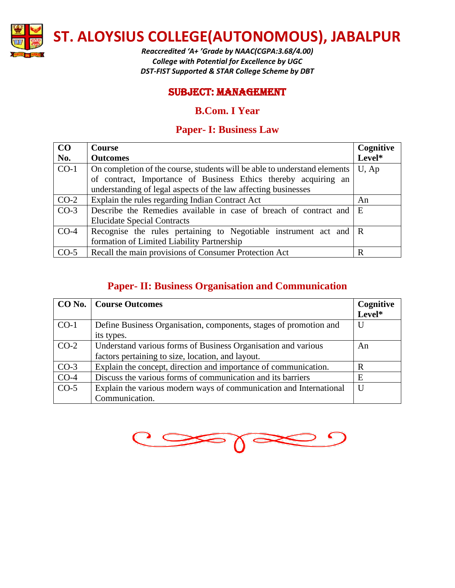

*Reaccredited 'A+ 'Grade by NAAC(CGPA:3.68/4.00) College with Potential for Excellence by UGC DST-FIST Supported & STAR College Scheme by DBT*

#### SUBJECT: management

#### **B.Com. I Year**

### **Paper- I: Business Law**

| CO     | Course                                                                    | Cognitive |
|--------|---------------------------------------------------------------------------|-----------|
| No.    | <b>Outcomes</b>                                                           | Level*    |
| $CO-1$ | On completion of the course, students will be able to understand elements | $U$ , Ap  |
|        | of contract, Importance of Business Ethics thereby acquiring an           |           |
|        | understanding of legal aspects of the law affecting businesses            |           |
| $CO-2$ | Explain the rules regarding Indian Contract Act                           | An        |
| $CO-3$ | Describe the Remedies available in case of breach of contract and         | E         |
|        | <b>Elucidate Special Contracts</b>                                        |           |
| $CO-4$ | Recognise the rules pertaining to Negotiable instrument act and $\vert$ R |           |
|        | formation of Limited Liability Partnership                                |           |
| $CO-5$ | Recall the main provisions of Consumer Protection Act                     | R         |

#### **Paper- II: Business Organisation and Communication**

|        | <b>CO No.</b> Course Outcomes                                      | Cognitive |
|--------|--------------------------------------------------------------------|-----------|
|        |                                                                    | Level*    |
| $CO-1$ | Define Business Organisation, components, stages of promotion and  | U         |
|        | its types.                                                         |           |
| $CO-2$ | Understand various forms of Business Organisation and various      | An        |
|        | factors pertaining to size, location, and layout.                  |           |
| $CO-3$ | Explain the concept, direction and importance of communication.    | R         |
| $CO-4$ | Discuss the various forms of communication and its barriers        | E         |
| $CO-5$ | Explain the various modern ways of communication and International | U         |
|        | Communication.                                                     |           |

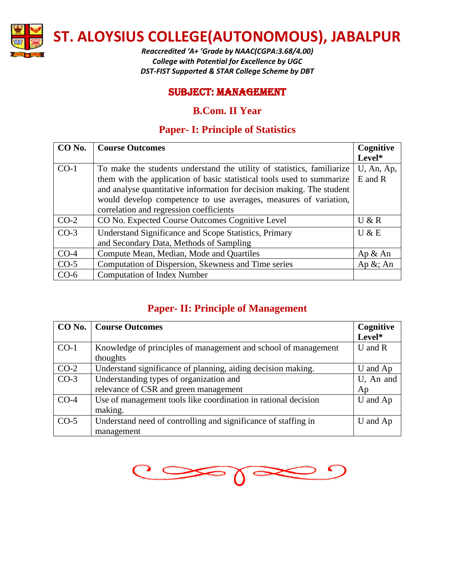

*Reaccredited 'A+ 'Grade by NAAC(CGPA:3.68/4.00) College with Potential for Excellence by UGC DST-FIST Supported & STAR College Scheme by DBT*

### SUBJECT: management

#### **B.Com. II Year**

# **Paper- I: Principle of Statistics**

| CO No. | <b>Course Outcomes</b>                                                 | Cognitive    |
|--------|------------------------------------------------------------------------|--------------|
|        |                                                                        | Level*       |
| $CO-1$ | To make the students understand the utility of statistics, familiarize | U, An, Ap,   |
|        | them with the application of basic statistical tools used to summarize | $E$ and $R$  |
|        | and analyse quantitative information for decision making. The student  |              |
|        | would develop competence to use averages, measures of variation,       |              |
|        | correlation and regression coefficients                                |              |
| $CO-2$ | CO No. Expected Course Outcomes Cognitive Level                        | U & R        |
| $CO-3$ | Understand Significance and Scope Statistics, Primary                  | U & E        |
|        | and Secondary Data, Methods of Sampling                                |              |
| $CO-4$ | Compute Mean, Median, Mode and Quartiles                               | Ap & An      |
| $CO-5$ | Computation of Dispersion, Skewness and Time series                    | Ap $\&$ ; An |
| $CO-6$ | <b>Computation of Index Number</b>                                     |              |

# **Paper- II: Principle of Management**

| CO No. | <b>Course Outcomes</b>                                         | Cognitive   |
|--------|----------------------------------------------------------------|-------------|
|        |                                                                | Level*      |
| $CO-1$ | Knowledge of principles of management and school of management | $U$ and $R$ |
|        | thoughts                                                       |             |
| $CO-2$ | Understand significance of planning, aiding decision making.   | U and Ap    |
| $CO-3$ | Understanding types of organization and                        | U, An and   |
|        | relevance of CSR and green management                          | Ap          |
| $CO-4$ | Use of management tools like coordination in rational decision | U and Ap    |
|        | making.                                                        |             |
| $CO-5$ | Understand need of controlling and significance of staffing in | U and Ap    |
|        | management                                                     |             |

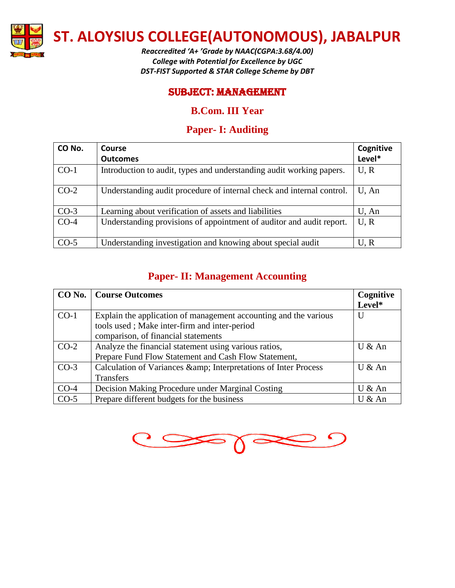

*Reaccredited 'A+ 'Grade by NAAC(CGPA:3.68/4.00) College with Potential for Excellence by UGC DST-FIST Supported & STAR College Scheme by DBT*

#### SUBJECT: management

### **B.Com. III Year**

# **Paper- I: Auditing**

| CO No. | Course                                                                | Cognitive |
|--------|-----------------------------------------------------------------------|-----------|
|        | <b>Outcomes</b>                                                       | Level*    |
| $CO-1$ | Introduction to audit, types and understanding audit working papers.  | U, R      |
| $CO-2$ | Understanding audit procedure of internal check and internal control. | U, An     |
| $CO-3$ | Learning about verification of assets and liabilities                 | U, An     |
| $CO-4$ | Understanding provisions of appointment of auditor and audit report.  | U, R      |
| $CO-5$ | Understanding investigation and knowing about special audit           | U.R       |

# **Paper- II: Management Accounting**

|        | <b>CO No.</b>   Course Outcomes                                  | Cognitive |
|--------|------------------------------------------------------------------|-----------|
|        |                                                                  | Level*    |
| $CO-1$ | Explain the application of management accounting and the various | U         |
|        | tools used; Make inter-firm and inter-period                     |           |
|        | comparison, of financial statements                              |           |
| $CO-2$ | Analyze the financial statement using various ratios,            | U & An    |
|        | Prepare Fund Flow Statement and Cash Flow Statement,             |           |
| $CO-3$ | Calculation of Variances & amp; Interpretations of Inter Process | U & An    |
|        | Transfers                                                        |           |
| $CO-4$ | Decision Making Procedure under Marginal Costing                 | U & An    |
| $CO-5$ | Prepare different budgets for the business                       | U & An    |

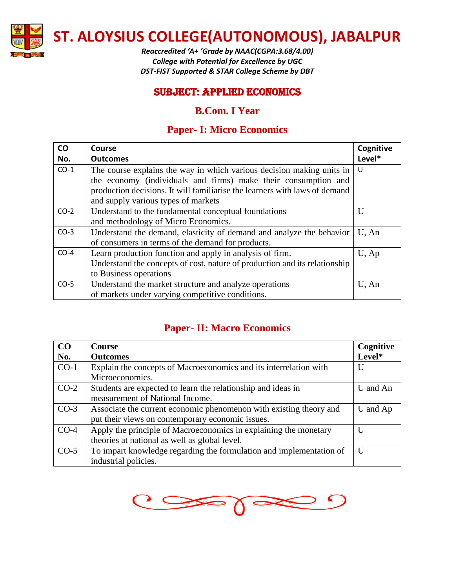

*Reaccredited 'A+ 'Grade by NAAC(CGPA:3.68/4.00) College with Potential for Excellence by UGC DST-FIST Supported & STAR College Scheme by DBT*

#### SUBJECT: Applied Economics

### **B.Com. I Year**

### **Paper- I: Micro Economics**

| CO     | Course                                                                     | Cognitive    |
|--------|----------------------------------------------------------------------------|--------------|
| No.    | <b>Outcomes</b>                                                            | Level*       |
| $CO-1$ | The course explains the way in which various decision making units in      | - U          |
|        | the economy (individuals and firms) make their consumption and             |              |
|        | production decisions. It will familiarise the learners with laws of demand |              |
|        | and supply various types of markets                                        |              |
| $CO-2$ | Understand to the fundamental conceptual foundations                       | $\mathbf{I}$ |
|        | and methodology of Micro Economics.                                        |              |
| $CO-3$ | Understand the demand, elasticity of demand and analyze the behavior       | U. An        |
|        | of consumers in terms of the demand for products.                          |              |
| $CO-4$ | Learn production function and apply in analysis of firm.                   | $U$ , Ap     |
|        | Understand the concepts of cost, nature of production and its relationship |              |
|        | to Business operations                                                     |              |
| $CO-5$ | Understand the market structure and analyze operations                     | U, An        |
|        | of markets under varying competitive conditions.                           |              |

# **Paper- II: Macro Economics**

| CO     | <b>Course</b>                                                       | Cognitive |
|--------|---------------------------------------------------------------------|-----------|
| No.    | <b>Outcomes</b>                                                     | Level*    |
| $CO-1$ | Explain the concepts of Macroeconomics and its interrelation with   | U         |
|        | Microeconomics.                                                     |           |
| $CO-2$ | Students are expected to learn the relationship and ideas in        | U and An  |
|        | measurement of National Income.                                     |           |
| $CO-3$ | Associate the current economic phenomenon with existing theory and  | U and Ap  |
|        | put their views on contemporary economic issues.                    |           |
| $CO-4$ | Apply the principle of Macroeconomics in explaining the monetary    | U         |
|        | theories at national as well as global level.                       |           |
| $CO-5$ | To impart knowledge regarding the formulation and implementation of | U         |
|        | industrial policies.                                                |           |

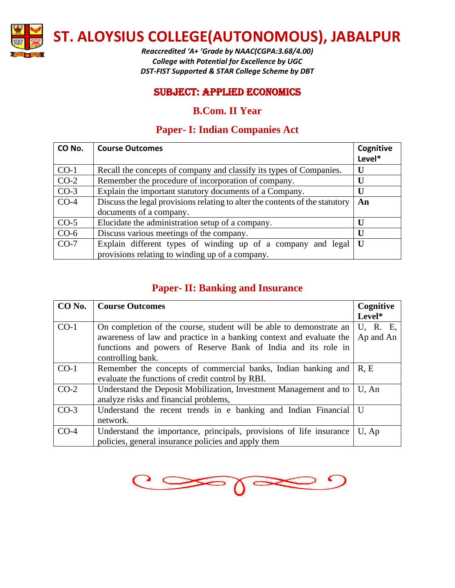

*Reaccredited 'A+ 'Grade by NAAC(CGPA:3.68/4.00) College with Potential for Excellence by UGC DST-FIST Supported & STAR College Scheme by DBT*

#### SUBJECT: Applied Economics

### **B.Com. II Year**

# **Paper- I: Indian Companies Act**

| CO No. | <b>Course Outcomes</b>                                                       | Cognitive    |
|--------|------------------------------------------------------------------------------|--------------|
|        |                                                                              | Level*       |
| $CO-1$ | Recall the concepts of company and classify its types of Companies.          | U            |
| $CO-2$ | Remember the procedure of incorporation of company.                          | IJ           |
| $CO-3$ | Explain the important statutory documents of a Company.                      | U            |
| $CO-4$ | Discuss the legal provisions relating to alter the contents of the statutory | An           |
|        | documents of a company.                                                      |              |
| $CO-5$ | Elucidate the administration setup of a company.                             |              |
| $CO-6$ | Discuss various meetings of the company.                                     | $\mathbf{U}$ |
| $CO-7$ | Explain different types of winding up of a company and legal                 | U            |
|        | provisions relating to winding up of a company.                              |              |

# **Paper- II: Banking and Insurance**

| CO No. | <b>Course Outcomes</b>                                              | Cognitive |
|--------|---------------------------------------------------------------------|-----------|
|        |                                                                     | Level*    |
| $CO-1$ | On completion of the course, student will be able to demonstrate an | U, R. E,  |
|        | awareness of law and practice in a banking context and evaluate the | Ap and An |
|        | functions and powers of Reserve Bank of India and its role in       |           |
|        | controlling bank.                                                   |           |
| $CO-1$ | Remember the concepts of commercial banks, Indian banking and       | R.E       |
|        | evaluate the functions of credit control by RBI.                    |           |
| $CO-2$ | Understand the Deposit Mobilization, Investment Management and to   | U, An     |
|        | analyze risks and financial problems,                               |           |
| $CO-3$ | Understand the recent trends in e banking and Indian Financial      | U         |
|        | network.                                                            |           |
| $CO-4$ | Understand the importance, principals, provisions of life insurance | U, Ap     |
|        | policies, general insurance policies and apply them                 |           |

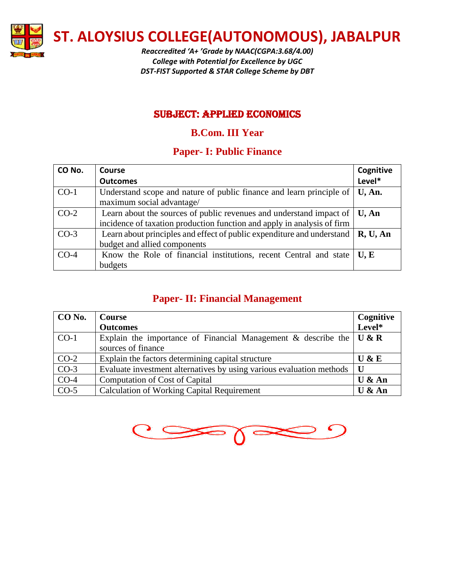

*Reaccredited 'A+ 'Grade by NAAC(CGPA:3.68/4.00) College with Potential for Excellence by UGC DST-FIST Supported & STAR College Scheme by DBT*

# SUBJECT: Applied Economics

# **B.Com. III Year**

### **Paper- I: Public Finance**

| CO No. | Course                                                                                                                 | Cognitive |
|--------|------------------------------------------------------------------------------------------------------------------------|-----------|
|        | <b>Outcomes</b>                                                                                                        | Level*    |
| $CO-1$ | Understand scope and nature of public finance and learn principle of                                                   | U, An.    |
|        | maximum social advantage/                                                                                              |           |
| $CO-2$ | Learn about the sources of public revenues and understand impact of                                                    | U, An     |
|        | incidence of taxation production function and apply in analysis of firm                                                |           |
| $CO-3$ | Learn about principles and effect of public expenditure and understand $\parallel \mathbf{R}, \mathbf{U}, \mathbf{An}$ |           |
|        | budget and allied components                                                                                           |           |
| $CO-4$ | Know the Role of financial institutions, recent Central and state                                                      | U, E      |
|        | budgets                                                                                                                |           |

# **Paper- II: Financial Management**

| CO No. | <b>Course</b>                                                                                                  | Cognitive |
|--------|----------------------------------------------------------------------------------------------------------------|-----------|
|        | <b>Outcomes</b>                                                                                                | Level*    |
| $CO-1$ | Explain the importance of Financial Management & describe the $\mathbf{U} \& \mathbf{R}$<br>sources of finance |           |
| $CO-2$ | Explain the factors determining capital structure                                                              | U & E     |
| $CO-3$ | Evaluate investment alternatives by using various evaluation methods                                           | U         |
| $CO-4$ | Computation of Cost of Capital                                                                                 | U & An    |
| $CO-5$ | <b>Calculation of Working Capital Requirement</b>                                                              | U & An    |

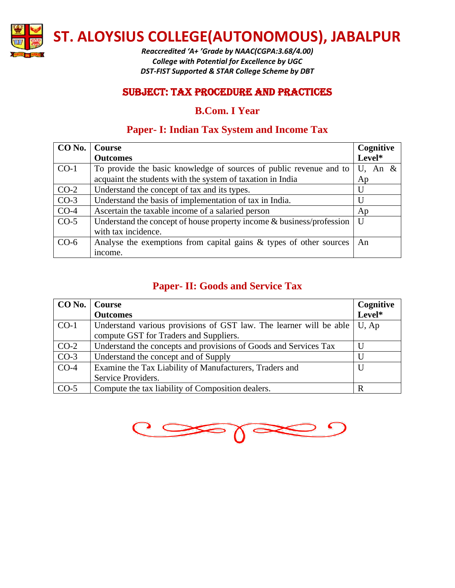

*Reaccredited 'A+ 'Grade by NAAC(CGPA:3.68/4.00) College with Potential for Excellence by UGC DST-FIST Supported & STAR College Scheme by DBT*

### SUBJECT: Tax Procedure and practices

### **B.Com. I Year**

# **Paper- I: Indian Tax System and Income Tax**

| CO No. | <b>Course</b>                                                            | Cognitive  |
|--------|--------------------------------------------------------------------------|------------|
|        | <b>Outcomes</b>                                                          | Level*     |
| $CO-1$ | To provide the basic knowledge of sources of public revenue and to       | U, An $\&$ |
|        | acquaint the students with the system of taxation in India               | Ap         |
| $CO-2$ | Understand the concept of tax and its types.                             | U          |
| $CO-3$ | Understand the basis of implementation of tax in India.                  | U          |
| $CO-4$ | Ascertain the taxable income of a salaried person                        | Ap         |
| $CO-5$ | Understand the concept of house property income $\&$ business/profession | $\bf{U}$   |
|        | with tax incidence.                                                      |            |
| $CO-6$ | Analyse the exemptions from capital gains $\&$ types of other sources    | An         |
|        | income.                                                                  |            |

# **Paper- II: Goods and Service Tax**

| CO No.   Course |                                                                    | Cognitive    |
|-----------------|--------------------------------------------------------------------|--------------|
|                 | <b>Outcomes</b>                                                    | Level*       |
| $CO-1$          | Understand various provisions of GST law. The learner will be able | $U$ , Ap     |
|                 | compute GST for Traders and Suppliers.                             |              |
| $CO-2$          | Understand the concepts and provisions of Goods and Services Tax   | $\mathbf{U}$ |
| $CO-3$          | Understand the concept and of Supply                               | $\mathbf{U}$ |
| $CO-4$          | Examine the Tax Liability of Manufacturers, Traders and            | U            |
|                 | Service Providers.                                                 |              |
| $CO-5$          | Compute the tax liability of Composition dealers.                  | R            |

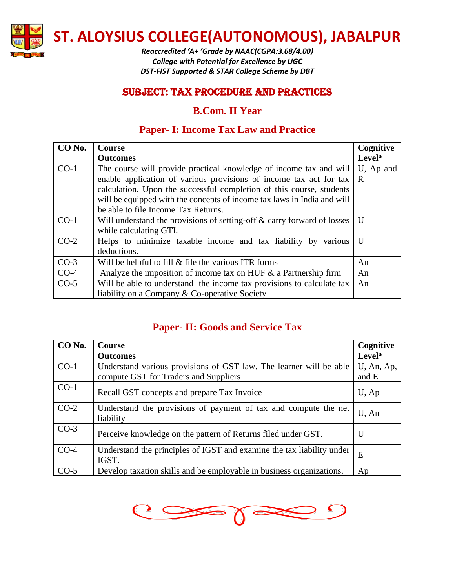

*Reaccredited 'A+ 'Grade by NAAC(CGPA:3.68/4.00) College with Potential for Excellence by UGC DST-FIST Supported & STAR College Scheme by DBT*

### SUBJECT: Tax Procedure and practices

### **B.Com. II Year**

# **Paper- I: Income Tax Law and Practice**

| CO No. | <b>Course</b>                                                           | Cognitive    |
|--------|-------------------------------------------------------------------------|--------------|
|        | <b>Outcomes</b>                                                         | Level*       |
| $CO-1$ | The course will provide practical knowledge of income tax and will      | U, Ap and    |
|        | enable application of various provisions of income tax act for tax      | R            |
|        | calculation. Upon the successful completion of this course, students    |              |
|        | will be equipped with the concepts of income tax laws in India and will |              |
|        | be able to file Income Tax Returns.                                     |              |
| $CO-1$ | Will understand the provisions of setting-off & carry forward of losses | U            |
|        | while calculating GTI.                                                  |              |
| $CO-2$ | Helps to minimize taxable income and tax liability by various           | $\mathbf{U}$ |
|        | deductions.                                                             |              |
| $CO-3$ | Will be helpful to fill $\&$ file the various ITR forms                 | An           |
| $CO-4$ | Analyze the imposition of income tax on HUF $\&$ a Partnership firm     | An           |
| $CO-5$ | Will be able to understand the income tax provisions to calculate tax   | An           |
|        | liability on a Company & Co-operative Society                           |              |

# **Paper- II: Goods and Service Tax**

| CO No. | <b>Course</b>                                                                                               | Cognitive           |
|--------|-------------------------------------------------------------------------------------------------------------|---------------------|
|        | <b>Outcomes</b>                                                                                             | Level*              |
| $CO-1$ | Understand various provisions of GST law. The learner will be able<br>compute GST for Traders and Suppliers | U, An, Ap,<br>and E |
| $CO-1$ | Recall GST concepts and prepare Tax Invoice                                                                 | $U$ , Ap            |
| $CO-2$ | Understand the provisions of payment of tax and compute the net<br>liability                                | $U$ , An            |
| $CO-3$ | Perceive knowledge on the pattern of Returns filed under GST.                                               | $\mathbf U$         |
| $CO-4$ | Understand the principles of IGST and examine the tax liability under<br>IGST.                              | E                   |
| $CO-5$ | Develop taxation skills and be employable in business organizations.                                        | Ap                  |

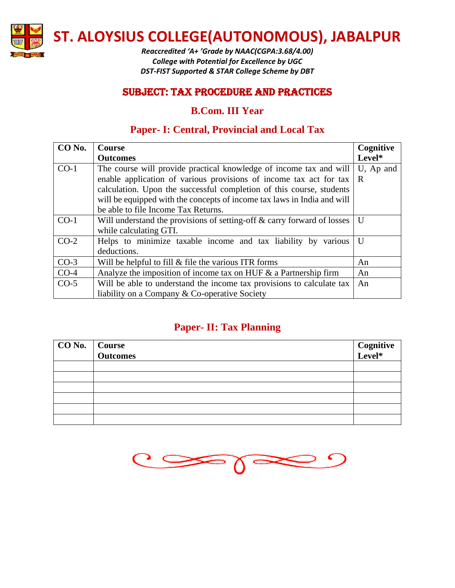

*Reaccredited 'A+ 'Grade by NAAC(CGPA:3.68/4.00) College with Potential for Excellence by UGC DST-FIST Supported & STAR College Scheme by DBT*

### SUBJECT: Tax Procedure and practices

### **B.Com. III Year**

# **Paper- I: Central, Provincial and Local Tax**

| CO No. | <b>Course</b>                                                           | Cognitive    |
|--------|-------------------------------------------------------------------------|--------------|
|        | <b>Outcomes</b>                                                         | Level*       |
| $CO-1$ | The course will provide practical knowledge of income tax and will      | U, Ap and    |
|        | enable application of various provisions of income tax act for tax      | R            |
|        | calculation. Upon the successful completion of this course, students    |              |
|        | will be equipped with the concepts of income tax laws in India and will |              |
|        | be able to file Income Tax Returns.                                     |              |
| $CO-1$ | Will understand the provisions of setting-off & carry forward of losses | U            |
|        | while calculating GTI.                                                  |              |
| $CO-2$ | Helps to minimize taxable income and tax liability by various           | $\mathbf{U}$ |
|        | deductions.                                                             |              |
| $CO-3$ | Will be helpful to fill $\&$ file the various ITR forms                 | An           |
| $CO-4$ | Analyze the imposition of income tax on HUF $\&$ a Partnership firm     | An           |
| $CO-5$ | Will be able to understand the income tax provisions to calculate tax   | An           |
|        | liability on a Company & Co-operative Society                           |              |

# **Paper- II: Tax Planning**

| CO No. Course<br>Outcomes | Cognitive<br>Level* |
|---------------------------|---------------------|
|                           |                     |
|                           |                     |
|                           |                     |
|                           |                     |
|                           |                     |
|                           |                     |

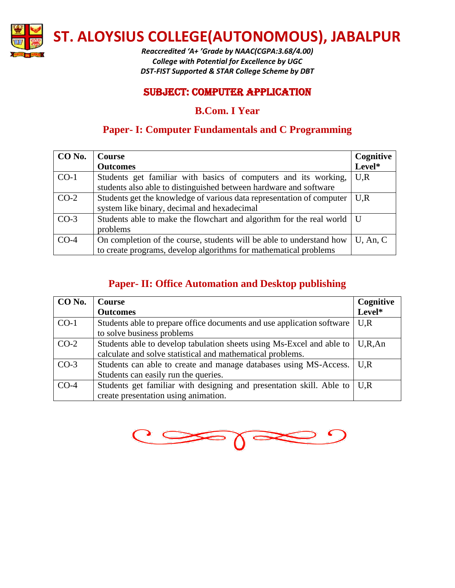

*Reaccredited 'A+ 'Grade by NAAC(CGPA:3.68/4.00) College with Potential for Excellence by UGC DST-FIST Supported & STAR College Scheme by DBT*

### SUBJECT: Computer Application

# **B.Com. I Year**

# **Paper- I: Computer Fundamentals and C Programming**

| CO No. | <b>Course</b>                                                            | Cognitive   |
|--------|--------------------------------------------------------------------------|-------------|
|        | <b>Outcomes</b>                                                          | Level*      |
| $CO-1$ | Students get familiar with basics of computers and its working,          | U, R        |
|        | students also able to distinguished between hardware and software        |             |
| $CO-2$ | Students get the knowledge of various data representation of computer    | U.R         |
|        | system like binary, decimal and hexadecimal                              |             |
| $CO-3$ | Students able to make the flowchart and algorithm for the real world   U |             |
|        | problems                                                                 |             |
| $CO-4$ | On completion of the course, students will be able to understand how     | $U$ , An, C |
|        | to create programs, develop algorithms for mathematical problems         |             |

# **Paper- II: Office Automation and Desktop publishing**

| CO No. | <b>Course</b>                                                                            | Cognitive |
|--------|------------------------------------------------------------------------------------------|-----------|
|        | <b>Outcomes</b>                                                                          | Level*    |
| $CO-1$ | Students able to prepare office documents and use application software                   | U, R      |
|        | to solve business problems                                                               |           |
| $CO-2$ | Students able to develop tabulation sheets using Ms-Excel and able to                    | U, R, An  |
|        | calculate and solve statistical and mathematical problems.                               |           |
| $CO-3$ | Students can able to create and manage databases using MS-Access.                        | U.R       |
|        | Students can easily run the queries.                                                     |           |
| $CO-4$ | Students get familiar with designing and presentation skill. Able to $\mid U, R \rangle$ |           |
|        | create presentation using animation.                                                     |           |

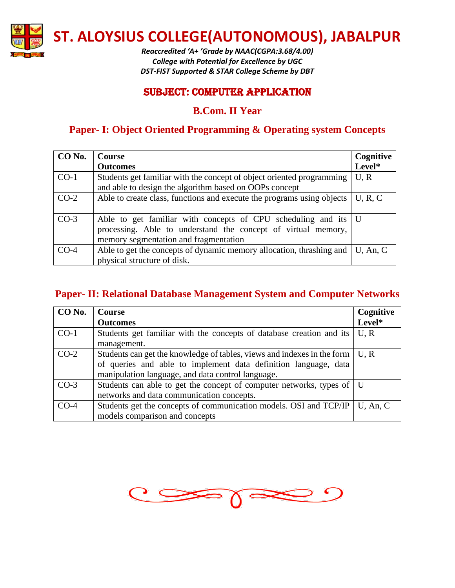

*Reaccredited 'A+ 'Grade by NAAC(CGPA:3.68/4.00) College with Potential for Excellence by UGC DST-FIST Supported & STAR College Scheme by DBT*

### SUBJECT: Computer Application

### **B.Com. II Year**

# **Paper- I: Object Oriented Programming & Operating system Concepts**

| CO No. | <b>Course</b>                                                          | Cognitive   |
|--------|------------------------------------------------------------------------|-------------|
|        | <b>Outcomes</b>                                                        | Level*      |
| $CO-1$ | Students get familiar with the concept of object oriented programming  | U, R        |
|        | and able to design the algorithm based on OOPs concept                 |             |
| $CO-2$ | Able to create class, functions and execute the programs using objects | U, R, C     |
|        |                                                                        |             |
| $CO-3$ | Able to get familiar with concepts of CPU scheduling and its   U       |             |
|        | processing. Able to understand the concept of virtual memory,          |             |
|        | memory segmentation and fragmentation                                  |             |
| $CO-4$ | Able to get the concepts of dynamic memory allocation, thrashing and   | $U$ , An, C |
|        | physical structure of disk.                                            |             |

#### **Paper- II: Relational Database Management System and Computer Networks**

| CO No. | <b>Course</b>                                                                              | Cognitive   |
|--------|--------------------------------------------------------------------------------------------|-------------|
|        | <b>Outcomes</b>                                                                            | Level*      |
| $CO-1$ | Students get familiar with the concepts of database creation and its                       | U, R        |
|        | management.                                                                                |             |
| $CO-2$ | Students can get the knowledge of tables, views and indexes in the form $\vert U, R \vert$ |             |
|        | of queries and able to implement data definition language, data                            |             |
|        | manipulation language, and data control language.                                          |             |
| $CO-3$ | Students can able to get the concept of computer networks, types of   U                    |             |
|        | networks and data communication concepts.                                                  |             |
| $CO-4$ | Students get the concepts of communication models. OSI and TCP/IP                          | $U$ , An, C |
|        | models comparison and concepts                                                             |             |

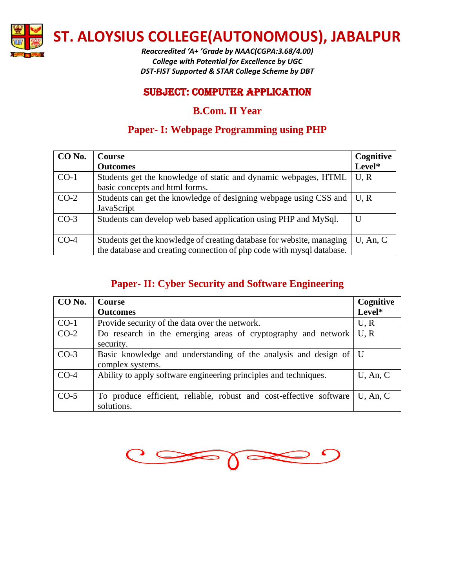

*Reaccredited 'A+ 'Grade by NAAC(CGPA:3.68/4.00) College with Potential for Excellence by UGC DST-FIST Supported & STAR College Scheme by DBT*

### SUBJECT: Computer Application

# **B.Com. II Year**

# **Paper- I: Webpage Programming using PHP**

| CO No. | <b>Course</b>                                                            | Cognitive   |
|--------|--------------------------------------------------------------------------|-------------|
|        | <b>Outcomes</b>                                                          | Level*      |
| $CO-1$ | Students get the knowledge of static and dynamic webpages, HTML          | U, R        |
|        | basic concepts and html forms.                                           |             |
| $CO-2$ | Students can get the knowledge of designing webpage using CSS and   U, R |             |
|        | JavaScript                                                               |             |
| $CO-3$ | Students can develop web based application using PHP and MySql.          | U           |
|        |                                                                          |             |
| $CO-4$ | Students get the knowledge of creating database for website, managing    | $U$ , An, C |
|        | the database and creating connection of php code with mysql database.    |             |

# **Paper- II: Cyber Security and Software Engineering**

| CO No. | <b>Course</b>                                                                    | Cognitive   |
|--------|----------------------------------------------------------------------------------|-------------|
|        | <b>Outcomes</b>                                                                  | Level*      |
| $CO-1$ | Provide security of the data over the network.                                   | U, R        |
| $CO-2$ | Do research in the emerging areas of cryptography and network                    | U, R        |
|        | security.                                                                        |             |
| $CO-3$ | Basic knowledge and understanding of the analysis and design of   U              |             |
|        | complex systems.                                                                 |             |
| $CO-4$ | Ability to apply software engineering principles and techniques.                 | $U$ , An, C |
| $CO-5$ | To produce efficient, reliable, robust and cost-effective software<br>solutions. | $U$ , An, C |

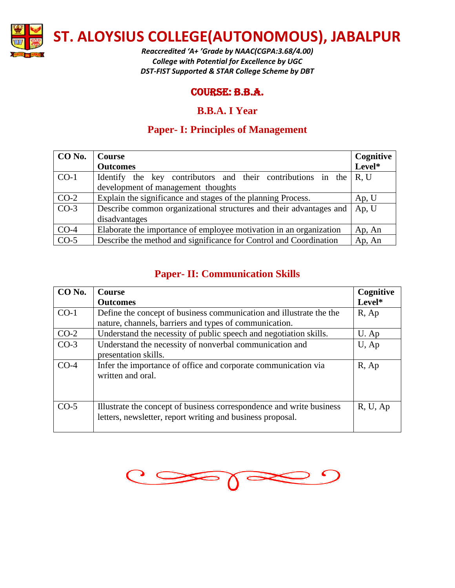

*Reaccredited 'A+ 'Grade by NAAC(CGPA:3.68/4.00) College with Potential for Excellence by UGC DST-FIST Supported & STAR College Scheme by DBT*

### Course: B.B.A.

### **B.B.A. I Year**

# **Paper- I: Principles of Management**

| CO No.            | Course                                                             | Cognitive |
|-------------------|--------------------------------------------------------------------|-----------|
|                   | <b>Outcomes</b>                                                    | Level*    |
| $CO-1$            | Identify the key contributors and their contributions in the       | R, U      |
|                   | development of management thoughts                                 |           |
| $CO-2$            | Explain the significance and stages of the planning Process.       | Ap, U     |
| $CO-3$            | Describe common organizational structures and their advantages and | Ap, U     |
|                   | disadvantages                                                      |           |
| $CO-4$            | Elaborate the importance of employee motivation in an organization | Ap, An    |
| $\overline{CO-5}$ | Describe the method and significance for Control and Coordination  | Ap, An    |

# **Paper- II: Communication Skills**

| CO No. | <b>Course</b>                                                                                                                      | Cognitive |
|--------|------------------------------------------------------------------------------------------------------------------------------------|-----------|
|        | <b>Outcomes</b>                                                                                                                    | Level*    |
| $CO-1$ | Define the concept of business communication and illustrate the the                                                                | $R$ , Ap  |
|        | nature, channels, barriers and types of communication.                                                                             |           |
| $CO-2$ | Understand the necessity of public speech and negotiation skills.                                                                  | U. Ap     |
| $CO-3$ | Understand the necessity of nonverbal communication and<br>presentation skills.                                                    | $U$ , Ap  |
| $CO-4$ | Infer the importance of office and corporate communication via<br>written and oral.                                                | $R$ , Ap  |
| $CO-5$ | Illustrate the concept of business correspondence and write business<br>letters, newsletter, report writing and business proposal. | R, U, Ap  |

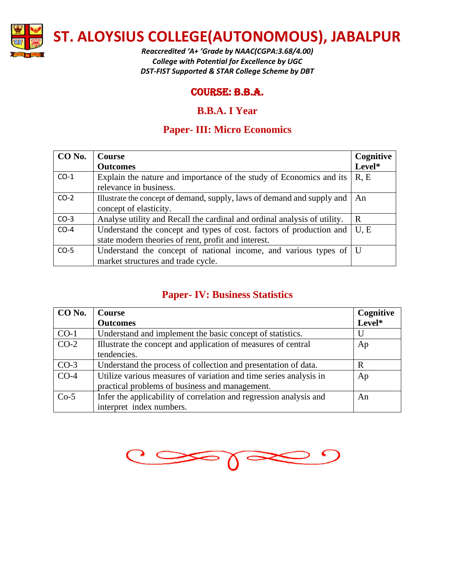

*Reaccredited 'A+ 'Grade by NAAC(CGPA:3.68/4.00) College with Potential for Excellence by UGC DST-FIST Supported & STAR College Scheme by DBT*

### Course: B.B.A.

### **B.B.A. I Year**

# **Paper- III: Micro Economics**

| CO No. | Course                                                                    | Cognitive |
|--------|---------------------------------------------------------------------------|-----------|
|        | <b>Outcomes</b>                                                           | Level*    |
| $CO-1$ | Explain the nature and importance of the study of Economics and its       | R, E      |
|        | relevance in business.                                                    |           |
| $CO-2$ | Illustrate the concept of demand, supply, laws of demand and supply and   | - An      |
|        | concept of elasticity.                                                    |           |
| $CO-3$ | Analyse utility and Recall the cardinal and ordinal analysis of utility.  | R         |
| $CO-4$ | Understand the concept and types of cost. factors of production and       | U, E      |
|        | state modern theories of rent, profit and interest.                       |           |
| $CO-5$ | Understand the concept of national income, and various types of $\vert$ U |           |
|        | market structures and trade cycle.                                        |           |

### **Paper- IV: Business Statistics**

| CO No. | <b>Course</b>                                                      | Cognitive |
|--------|--------------------------------------------------------------------|-----------|
|        | <b>Outcomes</b>                                                    | Level*    |
| $CO-1$ | Understand and implement the basic concept of statistics.          | U         |
| $CO-2$ | Illustrate the concept and application of measures of central      | Ap        |
|        | tendencies.                                                        |           |
| $CO-3$ | Understand the process of collection and presentation of data.     | R         |
| $CO-4$ | Utilize various measures of variation and time series analysis in  | Ap        |
|        | practical problems of business and management.                     |           |
| $Co-5$ | Infer the applicability of correlation and regression analysis and | An        |
|        | interpret index numbers.                                           |           |

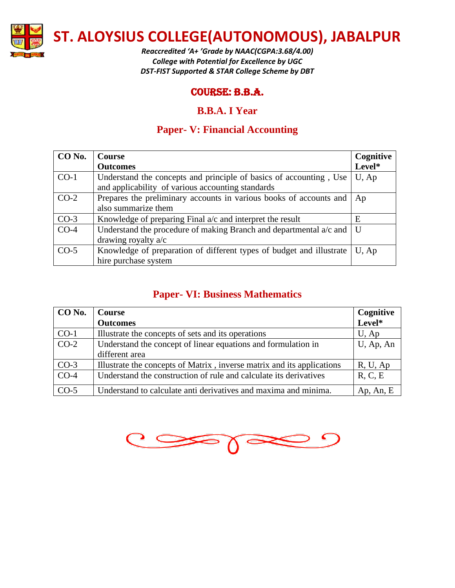

*Reaccredited 'A+ 'Grade by NAAC(CGPA:3.68/4.00) College with Potential for Excellence by UGC DST-FIST Supported & STAR College Scheme by DBT*

### Course: B.B.A.

### **B.B.A. I Year**

# **Paper- V: Financial Accounting**

| CO No. | <b>Course</b>                                                        | Cognitive |
|--------|----------------------------------------------------------------------|-----------|
|        | <b>Outcomes</b>                                                      | Level*    |
| $CO-1$ | Understand the concepts and principle of basics of accounting, Use   | $U$ , Ap  |
|        | and applicability of various accounting standards                    |           |
| $CO-2$ | Prepares the preliminary accounts in various books of accounts and   | Ap        |
|        | also summarize them                                                  |           |
| $CO-3$ | Knowledge of preparing Final a/c and interpret the result            | Ε         |
| $CO-4$ | Understand the procedure of making Branch and departmental a/c and   | U         |
|        | drawing royalty $a/c$                                                |           |
| $CO-5$ | Knowledge of preparation of different types of budget and illustrate | U, Ap     |
|        | hire purchase system                                                 |           |

### **Paper- VI: Business Mathematics**

| CO No. | <b>Course</b>                                                          | Cognitive    |
|--------|------------------------------------------------------------------------|--------------|
|        | <b>Outcomes</b>                                                        | Level*       |
| $CO-1$ | Illustrate the concepts of sets and its operations                     | $U$ , Ap     |
| $CO-2$ | Understand the concept of linear equations and formulation in          | $U$ , Ap, An |
|        | different area                                                         |              |
| $CO-3$ | Illustrate the concepts of Matrix, inverse matrix and its applications | R, U, Ap     |
| $CO-4$ | Understand the construction of rule and calculate its derivatives      | R, C, E      |
| $CO-5$ | Understand to calculate anti derivatives and maxima and minima.        | Ap, An, E    |

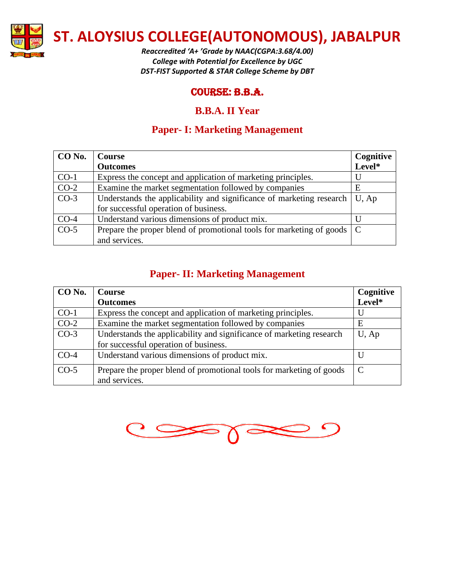

*Reaccredited 'A+ 'Grade by NAAC(CGPA:3.68/4.00) College with Potential for Excellence by UGC DST-FIST Supported & STAR College Scheme by DBT*

### Course: B.B.A.

### **B.B.A. II Year**

# **Paper- I: Marketing Management**

| CO No.            | <b>Course</b>                                                            | Cognitive |
|-------------------|--------------------------------------------------------------------------|-----------|
|                   | <b>Outcomes</b>                                                          | Level*    |
| $CO-1$            | Express the concept and application of marketing principles.             | U         |
| $CO-2$            | Examine the market segmentation followed by companies                    | E         |
| $CO-3$            | Understands the applicability and significance of marketing research     | U, Ap     |
|                   | for successful operation of business.                                    |           |
| $CO-4$            | Understand various dimensions of product mix.                            | $\Box$    |
| $\overline{CO-5}$ | Prepare the proper blend of promotional tools for marketing of goods   C |           |
|                   | and services.                                                            |           |

### **Paper- II: Marketing Management**

| <b>Course</b>                                                        | Cognitive     |
|----------------------------------------------------------------------|---------------|
| <b>Outcomes</b>                                                      | Level*        |
| Express the concept and application of marketing principles.         |               |
| Examine the market segmentation followed by companies                | E             |
| Understands the applicability and significance of marketing research | $U$ , Ap      |
| for successful operation of business.                                |               |
| Understand various dimensions of product mix.                        |               |
| Prepare the proper blend of promotional tools for marketing of goods | $\mathcal{C}$ |
|                                                                      | and services. |

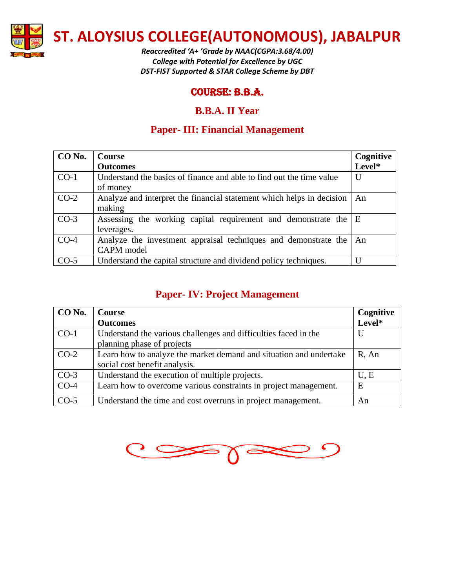

*Reaccredited 'A+ 'Grade by NAAC(CGPA:3.68/4.00) College with Potential for Excellence by UGC DST-FIST Supported & STAR College Scheme by DBT*

### Course: B.B.A.

### **B.B.A. II Year**

# **Paper- III: Financial Management**

| CO No. | Course                                                                | Cognitive |
|--------|-----------------------------------------------------------------------|-----------|
|        | <b>Outcomes</b>                                                       | Level*    |
| $CO-1$ | Understand the basics of finance and able to find out the time value  | U         |
|        | of money                                                              |           |
| $CO-2$ | Analyze and interpret the financial statement which helps in decision | An        |
|        | making                                                                |           |
| $CO-3$ | Assessing the working capital requirement and demonstrate the E       |           |
|        | leverages.                                                            |           |
| $CO-4$ | Analyze the investment appraisal techniques and demonstrate the       | An        |
|        | CAPM model                                                            |           |
| $CO-5$ | Understand the capital structure and dividend policy techniques.      | Ħ         |

### **Paper- IV: Project Management**

| CO No. | <b>Course</b>                                                      | Cognitive |
|--------|--------------------------------------------------------------------|-----------|
|        | <b>Outcomes</b>                                                    | Level*    |
| $CO-1$ | Understand the various challenges and difficulties faced in the    | U         |
|        | planning phase of projects                                         |           |
| $CO-2$ | Learn how to analyze the market demand and situation and undertake | $R$ , An  |
|        | social cost benefit analysis.                                      |           |
| $CO-3$ | Understand the execution of multiple projects.                     | U, E      |
| $CO-4$ | Learn how to overcome various constraints in project management.   | E         |
| $CO-5$ | Understand the time and cost overruns in project management.       | An        |

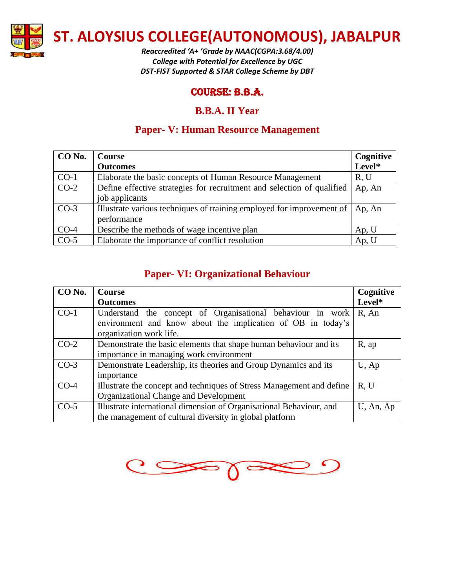

*Reaccredited 'A+ 'Grade by NAAC(CGPA:3.68/4.00) College with Potential for Excellence by UGC DST-FIST Supported & STAR College Scheme by DBT*

### Course: B.B.A.

### **B.B.A. II Year**

# **Paper- V: Human Resource Management**

| CO No. | Course                                                                 | Cognitive |
|--------|------------------------------------------------------------------------|-----------|
|        | <b>Outcomes</b>                                                        | Level*    |
| $CO-1$ | Elaborate the basic concepts of Human Resource Management              | R, U      |
| $CO-2$ | Define effective strategies for recruitment and selection of qualified | Ap, An    |
|        | job applicants                                                         |           |
| $CO-3$ | Illustrate various techniques of training employed for improvement of  | Ap, An    |
|        | performance                                                            |           |
| $CO-4$ | Describe the methods of wage incentive plan                            | Ap, U     |
| $CO-5$ | Elaborate the importance of conflict resolution                        | Ap, U     |

### **Paper- VI: Organizational Behaviour**

| CO No. | <b>Course</b>                                                         | Cognitive    |
|--------|-----------------------------------------------------------------------|--------------|
|        | <b>Outcomes</b>                                                       | Level*       |
| $CO-1$ | Understand the concept of Organisational behaviour in work            | $R$ , An     |
|        | environment and know about the implication of OB in today's           |              |
|        | organization work life.                                               |              |
| $CO-2$ | Demonstrate the basic elements that shape human behaviour and its     | $R$ , ap     |
|        | importance in managing work environment                               |              |
| $CO-3$ | Demonstrate Leadership, its theories and Group Dynamics and its       | $U$ , Ap     |
|        | importance                                                            |              |
| $CO-4$ | Illustrate the concept and techniques of Stress Management and define | R, U         |
|        | Organizational Change and Development                                 |              |
| $CO-5$ | Illustrate international dimension of Organisational Behaviour, and   | $U$ , An, Ap |
|        | the management of cultural diversity in global platform               |              |

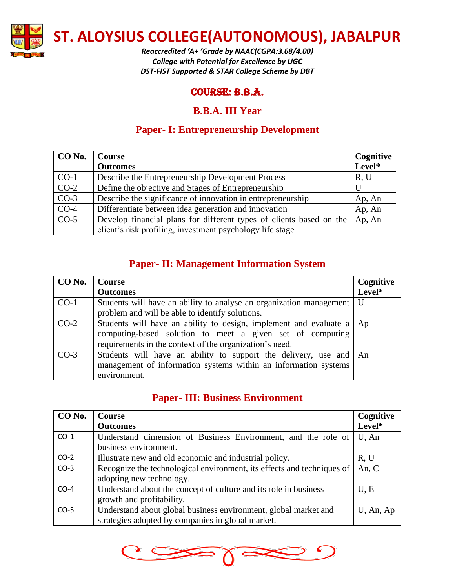

*Reaccredited 'A+ 'Grade by NAAC(CGPA:3.68/4.00) College with Potential for Excellence by UGC DST-FIST Supported & STAR College Scheme by DBT*

### Course: B.B.A.

### **B.B.A. III Year**

# **Paper- I: Entrepreneurship Development**

| CO No. | <b>Course</b>                                                       | Cognitive |
|--------|---------------------------------------------------------------------|-----------|
|        | <b>Outcomes</b>                                                     | Level*    |
| $CO-1$ | Describe the Entrepreneurship Development Process                   | R, U      |
| $CO-2$ | Define the objective and Stages of Entrepreneurship                 |           |
| $CO-3$ | Describe the significance of innovation in entrepreneurship         | Ap, An    |
| $CO-4$ | Differentiate between idea generation and innovation                | Ap, An    |
| $CO-5$ | Develop financial plans for different types of clients based on the | Ap, An    |
|        | client's risk profiling, investment psychology life stage           |           |

# **Paper- II: Management Information System**

| CO No. | <b>Course</b>                                                                                                                                                                                  | Cognitive |
|--------|------------------------------------------------------------------------------------------------------------------------------------------------------------------------------------------------|-----------|
|        | <b>Outcomes</b>                                                                                                                                                                                | Level*    |
| $CO-1$ | Students will have an ability to analyse an organization management   U                                                                                                                        |           |
|        | problem and will be able to identify solutions.                                                                                                                                                |           |
| $CO-2$ | Students will have an ability to design, implement and evaluate a   Ap<br>computing-based solution to meet a given set of computing<br>requirements in the context of the organization's need. |           |
| $CO-3$ | Students will have an ability to support the delivery, use and   An<br>management of information systems within an information systems<br>environment.                                         |           |

# **Paper- III: Business Environment**

| CO No. | <b>Course</b>                                                          | Cognitive |
|--------|------------------------------------------------------------------------|-----------|
|        | <b>Outcomes</b>                                                        | Level*    |
| $CO-1$ | Understand dimension of Business Environment, and the role of          | U, An     |
|        | business environment.                                                  |           |
| $CO-2$ | Illustrate new and old economic and industrial policy.                 | R, U      |
| $CO-3$ | Recognize the technological environment, its effects and techniques of | An, $C$   |
|        | adopting new technology.                                               |           |
| $CO-4$ | Understand about the concept of culture and its role in business       | U, E      |
|        | growth and profitability.                                              |           |
| $CO-5$ | Understand about global business environment, global market and        | U, An, Ap |
|        | strategies adopted by companies in global market.                      |           |

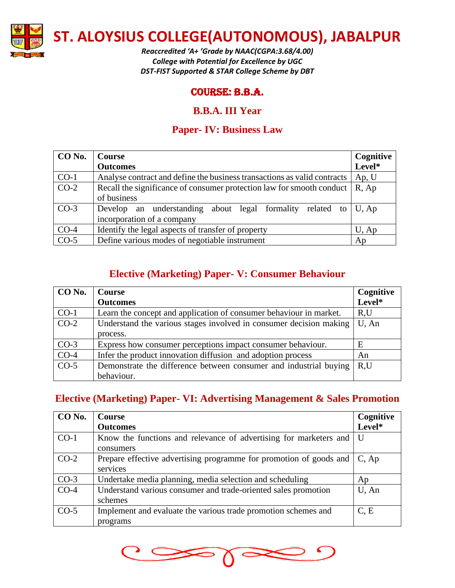

*Reaccredited 'A+ 'Grade by NAAC(CGPA:3.68/4.00) College with Potential for Excellence by UGC DST-FIST Supported & STAR College Scheme by DBT*

### Course: B.B.A.

### **B.B.A. III Year**

# **Paper- IV: Business Law**

| CO No. | Course                                                                      | Cognitive |
|--------|-----------------------------------------------------------------------------|-----------|
|        | <b>Outcomes</b>                                                             | Level*    |
| $CO-1$ | Analyse contract and define the business transactions as valid contracts    | Ap, U     |
| $CO-2$ | Recall the significance of consumer protection law for smooth conduct       | $R$ , Ap  |
|        | of business                                                                 |           |
| $CO-3$ | Develop an understanding about legal formality related to $\mid U, Ap \mid$ |           |
|        | incorporation of a company                                                  |           |
| $CO-4$ | Identify the legal aspects of transfer of property                          | $U$ , Ap  |
| $CO-5$ | Define various modes of negotiable instrument                               | Ap        |

# **Elective (Marketing) Paper- V: Consumer Behaviour**

| CO No. | <b>Course</b>                                                      | Cognitive |
|--------|--------------------------------------------------------------------|-----------|
|        | <b>Outcomes</b>                                                    | Level*    |
| $CO-1$ | Learn the concept and application of consumer behaviour in market. | R,U       |
| $CO-2$ | Understand the various stages involved in consumer decision making | U, An     |
|        | process.                                                           |           |
| $CO-3$ | Express how consumer perceptions impact consumer behaviour.        | Е         |
| $CO-4$ | Infer the product innovation diffusion and adoption process        | An        |
| $CO-5$ | Demonstrate the difference between consumer and industrial buying  | R.U       |
|        | behaviour.                                                         |           |

# **Elective (Marketing) Paper- VI: Advertising Management & Sales Promotion**

| CO No. | <b>Course</b>                                                                  | Cognitive |
|--------|--------------------------------------------------------------------------------|-----------|
|        | <b>Outcomes</b>                                                                | Level*    |
| $CO-1$ | Know the functions and relevance of advertising for marketers and<br>consumers | . U       |
| $CO-2$ | Prepare effective advertising programme for promotion of goods and<br>services | C, Ap     |
| $CO-3$ | Undertake media planning, media selection and scheduling                       | Ap        |
| $CO-4$ | Understand various consumer and trade-oriented sales promotion<br>schemes      | U, An     |
| $CO-5$ | Implement and evaluate the various trade promotion schemes and<br>programs     | C, E      |

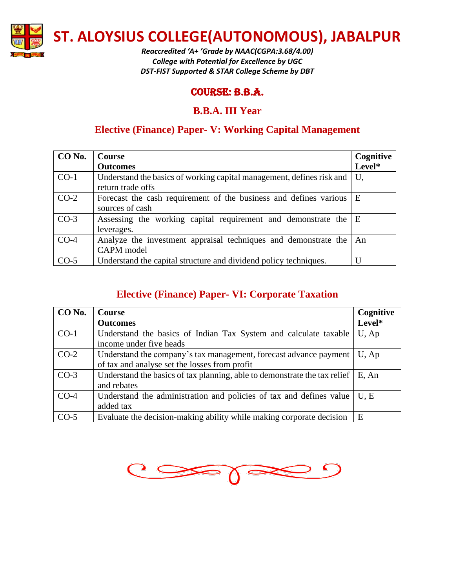

*Reaccredited 'A+ 'Grade by NAAC(CGPA:3.68/4.00) College with Potential for Excellence by UGC DST-FIST Supported & STAR College Scheme by DBT*

### Course: B.B.A.

### **B.B.A. III Year**

# **Elective (Finance) Paper- V: Working Capital Management**

| CO No. | <b>Course</b>                                                         | Cognitive |
|--------|-----------------------------------------------------------------------|-----------|
|        | <b>Outcomes</b>                                                       | Level*    |
| $CO-1$ | Understand the basics of working capital management, defines risk and | U.        |
|        | return trade offs                                                     |           |
| $CO-2$ | Forecast the cash requirement of the business and defines various   E |           |
|        | sources of cash                                                       |           |
| $CO-3$ | Assessing the working capital requirement and demonstrate the E       |           |
|        | leverages.                                                            |           |
| $CO-4$ | Analyze the investment appraisal techniques and demonstrate the       | An        |
|        | CAPM model                                                            |           |
| $CO-5$ | Understand the capital structure and dividend policy techniques.      |           |

# **Elective (Finance) Paper- VI: Corporate Taxation**

| CO No. | <b>Course</b>                                                             | Cognitive |
|--------|---------------------------------------------------------------------------|-----------|
|        | <b>Outcomes</b>                                                           | Level*    |
| $CO-1$ | Understand the basics of Indian Tax System and calculate taxable          | U, Ap     |
|        | income under five heads                                                   |           |
| $CO-2$ | Understand the company's tax management, forecast advance payment         | U, Ap     |
|        | of tax and analyse set the losses from profit                             |           |
| $CO-3$ | Understand the basics of tax planning, able to demonstrate the tax relief | E, An     |
|        | and rebates                                                               |           |
| $CO-4$ | Understand the administration and policies of tax and defines value       | U.E       |
|        | added tax                                                                 |           |
| $CO-5$ | Evaluate the decision-making ability while making corporate decision      | E         |